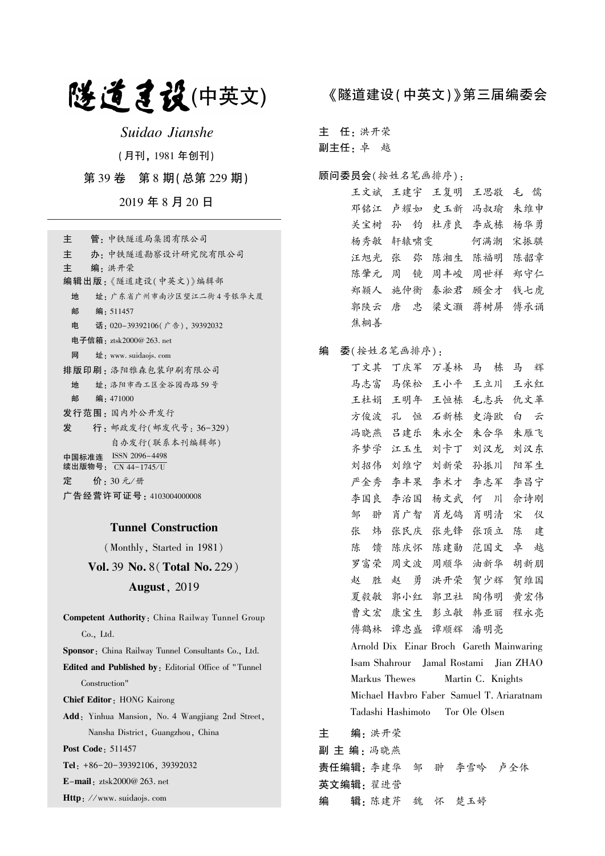## 隧道建设(中英文)

Suidao Jianshe

(月刊, 1981 年创刊)

第 39 卷 第 8 期(总第 229 期)

2019 年 8 月 20 日

#### Tunnel Construction

(Monthly, Started in 1981)

Vol. 39 No. 8(Total No. 229)

#### August, 2019

Competent Authority: China Railway Tunnel Group Co., Ltd. Sponsor: China Railway Tunnel Consultants Co., Ltd. Edited and Published by: Editorial Office of " Tunnel Construction" Chief Editor: HONG Kairong Add: Yinhua Mansion, No. 4 Wangjiang 2nd Street, Nansha District, Guangzhou, China Post Code: 511457 Tel: +86-20-39392106, 39392032 E-mail: ztsk2000@ 263. net Http: //www. suidaojs. com

### 《隧道建设(中英文)》第三届编委会

主 任: 洪开荣

副主任: 卓 越

#### 顾问委员会(按姓名笔画排序):

王文斌 王建宇 王复明 王思敬 毛 儒 邓铭江 卢耀如 史玉新 冯叔瑜 朱维申 关宝树 孙 钧 杜彦良 李成栋 杨华勇 杨秀敏 轩辕啸雯 何满潮 宋振骐 汪旭光 张 弥 陈湘生 陈福明 陈韶章 陈肇元 周 镜 周丰峻 周世祥 郑守仁 郑颖人 施仲衡 秦淞君 顾金才 钱七虎 郭陕云 唐 忠 梁文灏 蒋树屏 傅承诵 焦桐善

#### 编 委(按姓名笔画排序):

丁文其 丁庆军 万姜林 马 栋 马 辉 马志富 马保松 王小平 王立川 王永红 王杜娟 王明年 王恒栋 毛志兵 仇文革 方俊波 孔 恒 石新栋 史海欧 白 云 冯晓燕 吕建乐 朱永全 朱合华 朱雁飞 齐梦学 江玉生 刘卡丁 刘汉龙 刘汉东 刘招伟 刘维宁 刘新荣 孙振川 阳军生 严金秀 李丰果 李术才 李志军 李昌宁 李国良 李治国 杨文武 何 川 佘诗刚 邹 翀 肖广智 肖龙鸽 肖明清 宋 仪 张 炜 张民庆 张先锋 张顶立 陈 建 陈 馈 陈庆怀 陈建勋 范国文 卓 越 罗富荣 周文波 周顺华 油新华 胡新朋 赵 胜 赵 勇 洪开荣 贺少辉 贺维国 夏毅敏 郭小红 郭卫社 陶伟明 黄宏伟 曹文宏 康宝生 彭立敏 韩亚丽 程永亮 傅鹤林 谭忠盛 谭顺辉 潘明亮 Arnold Dix Einar Broch Gareth Mainwaring Isam Shahrour Jamal Rostami Jian ZHAO Markus Thewes Martin C. Knights Michael Havbro Faber Samuel T. Ariaratnam Tadashi Hashimoto Tor Ole Olsen

主 编: 洪开荣 副 主 编: 冯晓燕 责任编辑: 李建华 邹 翀 李雪吟 卢全体 英文编辑: 翟进营 编 辑: 陈建芹 魏 怀 楚玉婷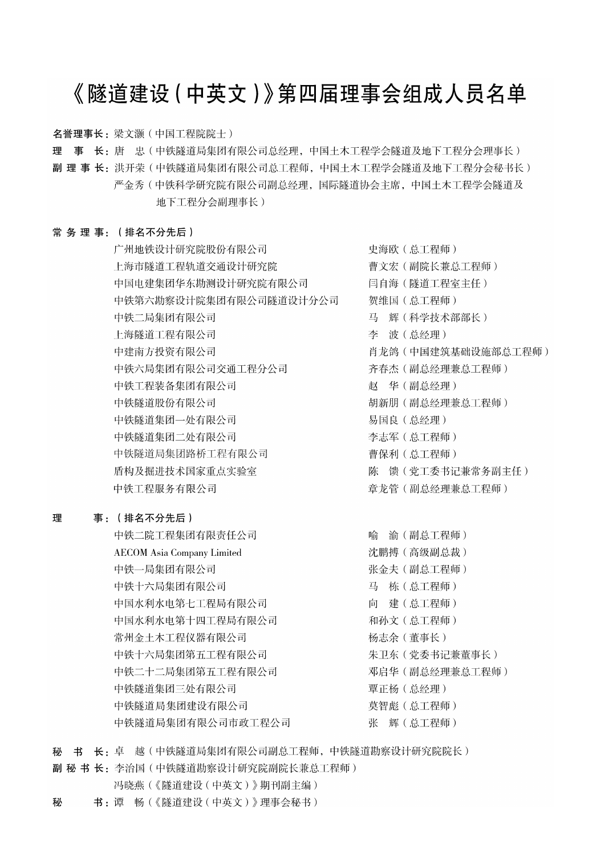## 《隧道建设 (中英文)》第四届理事会组成人员名单

名誉理事长: 梁文灏 (中国工程院院士)

理 事 长: 唐 忠(中铁隧道局集团有限公司总经理, 中国土木工程学会隧道及地下工程分会理事长)

副 理 事 长:洪开荣(中铁隧道局集团有限公司总工程师,中国土木工程学会隧道及地下工程分会秘书长) 严金秀 ( 中铁科学研究院有限公司副总经理, 国际隧道协会主席, 中国土木工程学会隧道及 地下工程分会副理事长)

#### 常务理事: (排名不分先后)

广州地铁设计研究院股份有限公司 上海市隧道工程轨道交通设计研究院 中国电建集团华东勘测设计研究院有限公司 中铁第六勘察设计院集团有限公司隧道设计分公司 中铁二局集团有限公司 上海隧道工程有限公司 中建南方投资有限公司 中铁六局集团有限公司交通工程分公司 中铁工程装备集团有限公司 中铁隧道股份有限公司 中铁隧道集团一处有限公司 中铁隧道集团二处有限公司 中铁隧道局集团路桥工程有限公司 盾构及掘进技术国家重点实验室 中铁工程服务有限公司

#### 理 事: (排名不分先后)

中铁二院工程集团有限责任公司 **AECOM** Asia Company Limited 中铁一局集团有限公司 中铁十六局集团有限公司 中国水利水电第七工程局有限公司 中国水利水电第十四工程局有限公司 常州金土木工程仪器有限公司 中铁十六局集团第五工程有限公司 中铁二十二局集团第五工程有限公司 中铁隧道集团三处有限公司 中铁隧道局集团建设有限公司 中铁隧道局集团有限公司市政工程公司

史海欧 (总工程师) 曹文宏(副院长兼总工程师) 闫自海(隧道工程室主任) 贺维国 (总工程师) 马 辉(科学技术部部长) 李 波(总经理) 肖龙鸽 (中国建筑基础设施部总工程师) 齐春杰 (副总经理兼总工程师) 赵 华(副总经理) 胡新朋 (副总经理兼总工程师) 易国良 (总经理) 李志军 (总工程师) 曹保利 (总工程师) 陈 馈 (党工委书记兼常务副主任) 章龙管(副总经理兼总工程师)

喻 渝(副总工程师) 沈鹏搏(高级副总裁) 张金夫 (副总工程师) 马 栋(总工程师) 向 建(总工程师) 和孙文 (总工程师) 杨志余(董事长) 朱卫东 (党委书记兼董事长) 邓启华 (副总经理兼总工程师) 覃正杨 (总经理) 莫智彪 (总工程师) 张 辉(总工程师)

秘 书 长: 卓 越(中铁隧道局集团有限公司副总工程师,中铁隧道勘察设计研究院院长)

副 秘 书 长: 李治国 (中铁隧道勘察设计研究院副院长兼总工程师)

- 冯晓燕(《隧道建设(中英文)》期刊副主编)
- 书:谭 畅(《隧道建设(中英文)》理事会秘书) 秘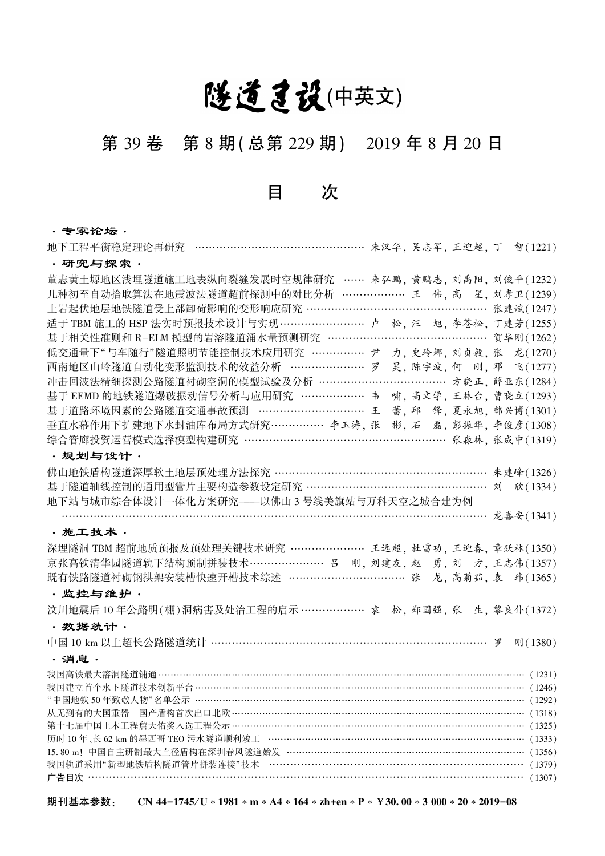# 隧道建设(中英文)

## 第 39 卷 第 8 期(总第 229 期) 2019 年 8 月 20 日

目 次

## • **专家论坛** •<br><del>"天王想灭绝绝宫</del>把公再研究

| 地下工程平衡稳定理论冉研究 …………………………………………… 朱汉华, 吴志军, 王迎超, 丁 智(1221)                                                         |  |  |                        |
|------------------------------------------------------------------------------------------------------------------|--|--|------------------------|
| ・研究与探索・                                                                                                          |  |  |                        |
| 董志黄土塬地区浅埋隧道施工地表纵向裂缝发展时空规律研究 …… 来弘鹏, 黄鹏志, 刘禹阳, 刘俊平(1232)                                                          |  |  |                        |
| 几种初至自动拾取算法在地震波法隧道超前探测中的对比分析 ………………… 王 伟, 高 星, 刘孝卫(1239)                                                          |  |  |                        |
| 土岩起伏地层地铁隧道受上部卸荷影响的变形响应研究 …………………………………………… 张建斌(1247)                                                             |  |  |                        |
| 适于 TBM 施工的 HSP 法实时预报技术设计与实现………………………… 卢 松, 汪 旭, 李苍松, 丁建芳(1255)                                                   |  |  |                        |
|                                                                                                                  |  |  |                        |
| 低交通量下"与车随行"隧道照明节能控制技术应用研究 …………… 尹                                                                                |  |  | 力,史玲娜,刘贞毅,张龙(1270)     |
| 西南地区山岭隧道自动化变形监测技术的效益分析 ………………… 罗                                                                                 |  |  | 昊, 陈宇波, 何 刚, 邓 飞(1277) |
| 冲击回波法精细探测公路隧道衬砌空洞的模型试验及分析 ………………………………… 方晓正, 薛亚东(1284)                                                           |  |  |                        |
| 基于 EEMD 的地铁隧道爆破振动信号分析与应用研究 ……………… 韦 啸, 高文学, 王林台, 曹晓立(1293)                                                       |  |  |                        |
| 基于道路环境因素的公路隧道交通事故预测 ………………………… 王                                                                                 |  |  | 蕾, 邱 锋, 夏永旭, 韩兴博(1301) |
| 垂直水幕作用下扩建地下水封油库布局方式研究…………… 李玉涛, 张                                                                                |  |  | 彬, 石 磊, 彭振华, 李俊彦(1308) |
| 综合管廊投资运营模式选择模型构建研究 ………………………………………………… 张森林, 张成中(1319)                                                            |  |  |                        |
| ・规划与设计・                                                                                                          |  |  |                        |
| 佛山地铁盾构隧道深厚软土地层预处理方法探究 …………………………………………………… 朱建峰(1326)                                                             |  |  |                        |
| 基于隧道轴线控制的通用型管片主要构造参数设定研究 …………………………………………… 刘 欣(1334)                                                             |  |  |                        |
| 地下站与城市综合体设计一体化方案研究——以佛山3号线美旗站与万科天空之城合建为例                                                                         |  |  |                        |
|                                                                                                                  |  |  |                        |
| · 施工技术 ·                                                                                                         |  |  |                        |
| 深埋隧洞 TBM 超前地质预报及预处理关键技术研究 ………………… 王远超, 杜雷功, 王迎春, 章跃林(1350)                                                       |  |  |                        |
| 京张高铁清华园隧道轨下结构预制拼装技术…………………… 吕 刚, 刘建友, 赵 勇, 刘 方, 王志伟(1357)                                                        |  |  |                        |
| 既有铁路隧道衬砌钢拱架安装槽快速开槽技术综述 ……………………………… 张 龙, 高菊茹, 袁 玮(1365)                                                          |  |  |                        |
| ・监控与维护・                                                                                                          |  |  |                        |
| 汶川地震后10年公路明(棚)洞病害及处治工程的启示………………… 袁 松, 郑国强, 张 生, 黎良仆(1372)                                                        |  |  |                        |
| ·数据统计·                                                                                                           |  |  |                        |
| 中国 10 km 以上超长公路隧道统计 …………………………………………………………………… 罗                                                                 |  |  | 刚(1380)                |
| ・消息・                                                                                                             |  |  |                        |
|                                                                                                                  |  |  |                        |
|                                                                                                                  |  |  |                        |
|                                                                                                                  |  |  |                        |
| 从无到有的大国重器 国产盾构首次出口北欧 ……………………………………………………………………………………                                                            |  |  | (1318)                 |
| 第十七届中国土木工程詹天佑奖入选工程公示 …………………………………………………………………………………………                                                          |  |  | (1325)                 |
| 历时 10年、长 62 km 的墨西哥 TEO 污水隧道顺利竣工 …………………………………………………………………………… (1333)                                            |  |  |                        |
| 15.80 m! 中国自主研制最大直径盾构在深圳春风隧道始发 ……………………………………………………………………<br>我国轨道采用"新型地铁盾构隧道管片拼装连接"技术 …………………………………………………………………… |  |  | (1356)<br>(1379)       |
| 广告目次·                                                                                                            |  |  | (1307)                 |
|                                                                                                                  |  |  |                        |

期刊基本参数: CN 44-1745/U ∗ 1981 \* m \* A4 \* 164 \* zh+en \* P \* ¥ 30. 00 \* 3 000 \* 20 \* 2019-08